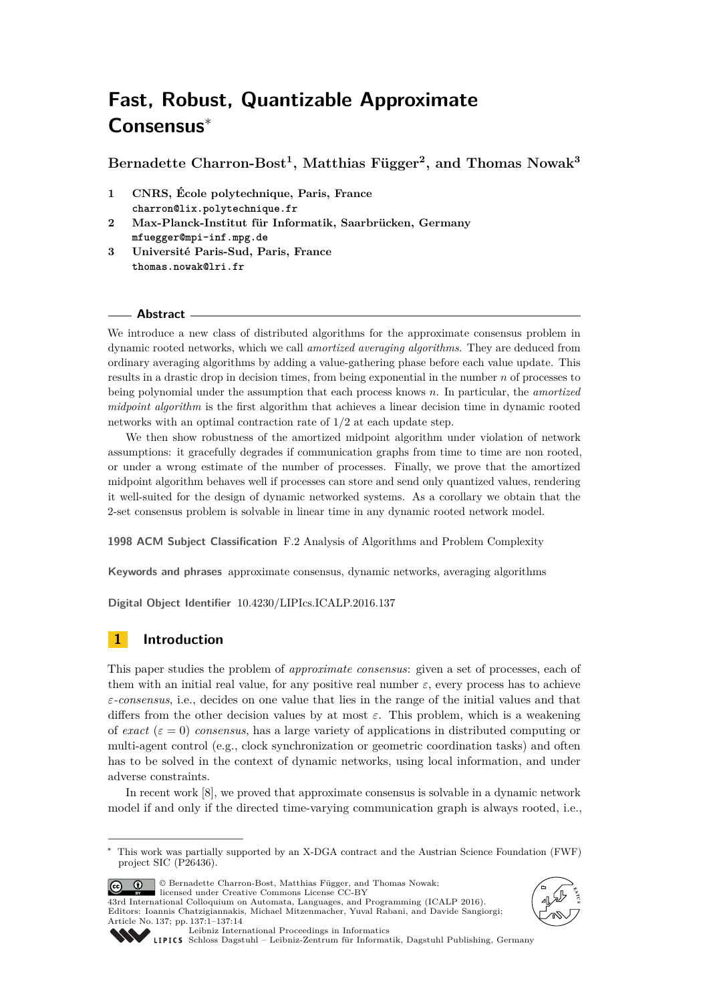# **Fast, Robust, Quantizable Approximate Consensus**<sup>∗</sup>

**Bernadette Charron-Bost<sup>1</sup> , Matthias Függer<sup>2</sup> , and Thomas Nowak<sup>3</sup>**

- **1 CNRS, École polytechnique, Paris, France charron@lix.polytechnique.fr**
- **2 Max-Planck-Institut für Informatik, Saarbrücken, Germany mfuegger@mpi-inf.mpg.de**
- **3 Université Paris-Sud, Paris, France thomas.nowak@lri.fr**

## **Abstract**

We introduce a new class of distributed algorithms for the approximate consensus problem in dynamic rooted networks, which we call *amortized averaging algorithms*. They are deduced from ordinary averaging algorithms by adding a value-gathering phase before each value update. This results in a drastic drop in decision times, from being exponential in the number *n* of processes to being polynomial under the assumption that each process knows *n*. In particular, the *amortized midpoint algorithm* is the first algorithm that achieves a linear decision time in dynamic rooted networks with an optimal contraction rate of 1*/*2 at each update step.

We then show robustness of the amortized midpoint algorithm under violation of network assumptions: it gracefully degrades if communication graphs from time to time are non rooted, or under a wrong estimate of the number of processes. Finally, we prove that the amortized midpoint algorithm behaves well if processes can store and send only quantized values, rendering it well-suited for the design of dynamic networked systems. As a corollary we obtain that the 2-set consensus problem is solvable in linear time in any dynamic rooted network model.

**1998 ACM Subject Classification** F.2 Analysis of Algorithms and Problem Complexity

**Keywords and phrases** approximate consensus, dynamic networks, averaging algorithms

**Digital Object Identifier** [10.4230/LIPIcs.ICALP.2016.137](http://dx.doi.org/10.4230/LIPIcs.ICALP.2016.137)

# **1 Introduction**

This paper studies the problem of *approximate consensus*: given a set of processes, each of them with an initial real value, for any positive real number  $\varepsilon$ , every process has to achieve *ε-consensus*, i.e., decides on one value that lies in the range of the initial values and that differs from the other decision values by at most *ε*. This problem, which is a weakening of *exact* ( $\varepsilon = 0$ ) *consensus*, has a large variety of applications in distributed computing or multi-agent control (e.g., clock synchronization or geometric coordination tasks) and often has to be solved in the context of dynamic networks, using local information, and under adverse constraints.

In recent work [\[8\]](#page-12-0), we proved that approximate consensus is solvable in a dynamic network model if and only if the directed time-varying communication graph is always rooted, i.e.,

© Bernadette Charron-Bost, Matthias Függer, and Thomas Nowak;  $\boxed{6}$   $\boxed{0}$ 

licensed under Creative Commons License CC-BY 43rd International Colloquium on Automata, Languages, and Programming (ICALP 2016). Editors: Ioannis Chatzigiannakis, Michael Mitzenmacher, Yuval Rabani, and Davide Sangiorgi; Article No. 137; pp. 137:1–137[:14](#page-13-0)





[Leibniz International Proceedings in Informatics](http://www.dagstuhl.de/lipics/)

[Schloss Dagstuhl – Leibniz-Zentrum für Informatik, Dagstuhl Publishing, Germany](http://www.dagstuhl.de)

<sup>∗</sup> This work was partially supported by an X-DGA contract and the Austrian Science Foundation (FWF) project SIC (P26436).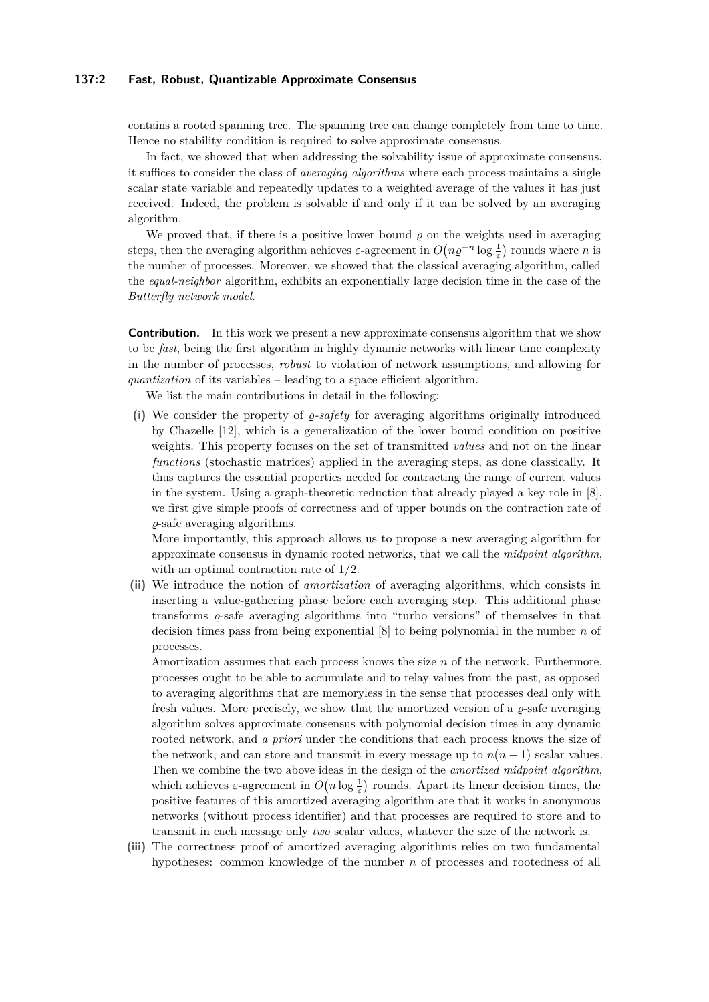## **137:2 Fast, Robust, Quantizable Approximate Consensus**

contains a rooted spanning tree. The spanning tree can change completely from time to time. Hence no stability condition is required to solve approximate consensus.

In fact, we showed that when addressing the solvability issue of approximate consensus, it suffices to consider the class of *averaging algorithms* where each process maintains a single scalar state variable and repeatedly updates to a weighted average of the values it has just received. Indeed, the problem is solvable if and only if it can be solved by an averaging algorithm.

We proved that, if there is a positive lower bound  $\rho$  on the weights used in averaging steps, then the averaging algorithm achieves  $\varepsilon$ -agreement in  $O(n\rho^{-n}\log\frac{1}{\varepsilon})$  rounds where *n* is the number of processes. Moreover, we showed that the classical averaging algorithm, called the *equal-neighbor* algorithm, exhibits an exponentially large decision time in the case of the *Butterfly network model*.

**Contribution.** In this work we present a new approximate consensus algorithm that we show to be *fast*, being the first algorithm in highly dynamic networks with linear time complexity in the number of processes, *robust* to violation of network assumptions, and allowing for *quantization* of its variables – leading to a space efficient algorithm.

We list the main contributions in detail in the following:

(i) We consider the property of  $\rho$ -safety for averaging algorithms originally introduced by Chazelle [\[12\]](#page-12-1), which is a generalization of the lower bound condition on positive weights. This property focuses on the set of transmitted *values* and not on the linear *functions* (stochastic matrices) applied in the averaging steps, as done classically. It thus captures the essential properties needed for contracting the range of current values in the system. Using a graph-theoretic reduction that already played a key role in [\[8\]](#page-12-0), we first give simple proofs of correctness and of upper bounds on the contraction rate of *%*-safe averaging algorithms.

More importantly, this approach allows us to propose a new averaging algorithm for approximate consensus in dynamic rooted networks, that we call the *midpoint algorithm*, with an optimal contraction rate of 1*/*2.

**(ii)** We introduce the notion of *amortization* of averaging algorithms, which consists in inserting a value-gathering phase before each averaging step. This additional phase transforms  $\varrho$ -safe averaging algorithms into "turbo versions" of themselves in that decision times pass from being exponential [\[8\]](#page-12-0) to being polynomial in the number *n* of processes.

Amortization assumes that each process knows the size *n* of the network. Furthermore, processes ought to be able to accumulate and to relay values from the past, as opposed to averaging algorithms that are memoryless in the sense that processes deal only with fresh values. More precisely, we show that the amortized version of a  $\rho$ -safe averaging algorithm solves approximate consensus with polynomial decision times in any dynamic rooted network, and *a priori* under the conditions that each process knows the size of the network, and can store and transmit in every message up to  $n(n-1)$  scalar values. Then we combine the two above ideas in the design of the *amortized midpoint algorithm*, which achieves  $\varepsilon$ -agreement in  $O(n \log \frac{1}{\varepsilon})$  rounds. Apart its linear decision times, the positive features of this amortized averaging algorithm are that it works in anonymous networks (without process identifier) and that processes are required to store and to transmit in each message only *two* scalar values, whatever the size of the network is.

**(iii)** The correctness proof of amortized averaging algorithms relies on two fundamental hypotheses: common knowledge of the number *n* of processes and rootedness of all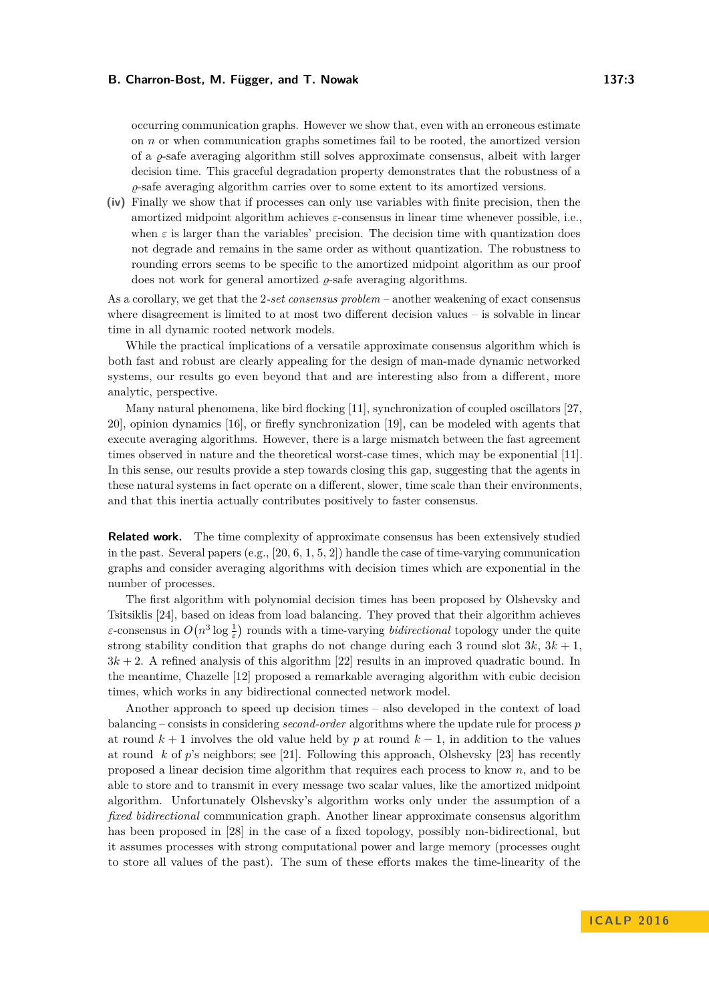occurring communication graphs. However we show that, even with an erroneous estimate on *n* or when communication graphs sometimes fail to be rooted, the amortized version of a  $\rho$ -safe averaging algorithm still solves approximate consensus, albeit with larger decision time. This graceful degradation property demonstrates that the robustness of a *%*-safe averaging algorithm carries over to some extent to its amortized versions.

**(iv)** Finally we show that if processes can only use variables with finite precision, then the amortized midpoint algorithm achieves *ε*-consensus in linear time whenever possible, i.e., when  $\varepsilon$  is larger than the variables' precision. The decision time with quantization does not degrade and remains in the same order as without quantization. The robustness to rounding errors seems to be specific to the amortized midpoint algorithm as our proof does not work for general amortized  $\rho$ -safe averaging algorithms.

As a corollary, we get that the 2*-set consensus problem* – another weakening of exact consensus where disagreement is limited to at most two different decision values – is solvable in linear time in all dynamic rooted network models.

While the practical implications of a versatile approximate consensus algorithm which is both fast and robust are clearly appealing for the design of man-made dynamic networked systems, our results go even beyond that and are interesting also from a different, more analytic, perspective.

Many natural phenomena, like bird flocking [\[11\]](#page-12-2), synchronization of coupled oscillators [\[27,](#page-13-1) [20\]](#page-12-3), opinion dynamics [\[16\]](#page-12-4), or firefly synchronization [\[19\]](#page-12-5), can be modeled with agents that execute averaging algorithms. However, there is a large mismatch between the fast agreement times observed in nature and the theoretical worst-case times, which may be exponential [\[11\]](#page-12-2). In this sense, our results provide a step towards closing this gap, suggesting that the agents in these natural systems in fact operate on a different, slower, time scale than their environments, and that this inertia actually contributes positively to faster consensus.

**Related work.** The time complexity of approximate consensus has been extensively studied in the past. Several papers  $(e.g., [20, 6, 1, 5, 2])$  $(e.g., [20, 6, 1, 5, 2])$  $(e.g., [20, 6, 1, 5, 2])$  $(e.g., [20, 6, 1, 5, 2])$  $(e.g., [20, 6, 1, 5, 2])$  $(e.g., [20, 6, 1, 5, 2])$  $(e.g., [20, 6, 1, 5, 2])$  $(e.g., [20, 6, 1, 5, 2])$  $(e.g., [20, 6, 1, 5, 2])$  $(e.g., [20, 6, 1, 5, 2])$  $(e.g., [20, 6, 1, 5, 2])$  handle the case of time-varying communication graphs and consider averaging algorithms with decision times which are exponential in the number of processes.

The first algorithm with polynomial decision times has been proposed by Olshevsky and Tsitsiklis [\[24\]](#page-13-2), based on ideas from load balancing. They proved that their algorithm achieves *ε*-consensus in  $O(n^3 \log \frac{1}{\varepsilon})$  rounds with a time-varying *bidirectional* topology under the quite strong stability condition that graphs do not change during each 3 round slot  $3k$ ,  $3k + 1$ , 3*k* + 2. A refined analysis of this algorithm [\[22\]](#page-12-8) results in an improved quadratic bound. In the meantime, Chazelle [\[12\]](#page-12-1) proposed a remarkable averaging algorithm with cubic decision times, which works in any bidirectional connected network model.

Another approach to speed up decision times – also developed in the context of load balancing – consists in considering *second-order* algorithms where the update rule for process *p* at round  $k + 1$  involves the old value held by p at round  $k - 1$ , in addition to the values at round *k* of *p*'s neighbors; see [\[21\]](#page-12-9). Following this approach, Olshevsky [\[23\]](#page-12-10) has recently proposed a linear decision time algorithm that requires each process to know *n*, and to be able to store and to transmit in every message two scalar values, like the amortized midpoint algorithm. Unfortunately Olshevsky's algorithm works only under the assumption of a *fixed bidirectional* communication graph. Another linear approximate consensus algorithm has been proposed in [\[28\]](#page-13-3) in the case of a fixed topology, possibly non-bidirectional, but it assumes processes with strong computational power and large memory (processes ought to store all values of the past). The sum of these efforts makes the time-linearity of the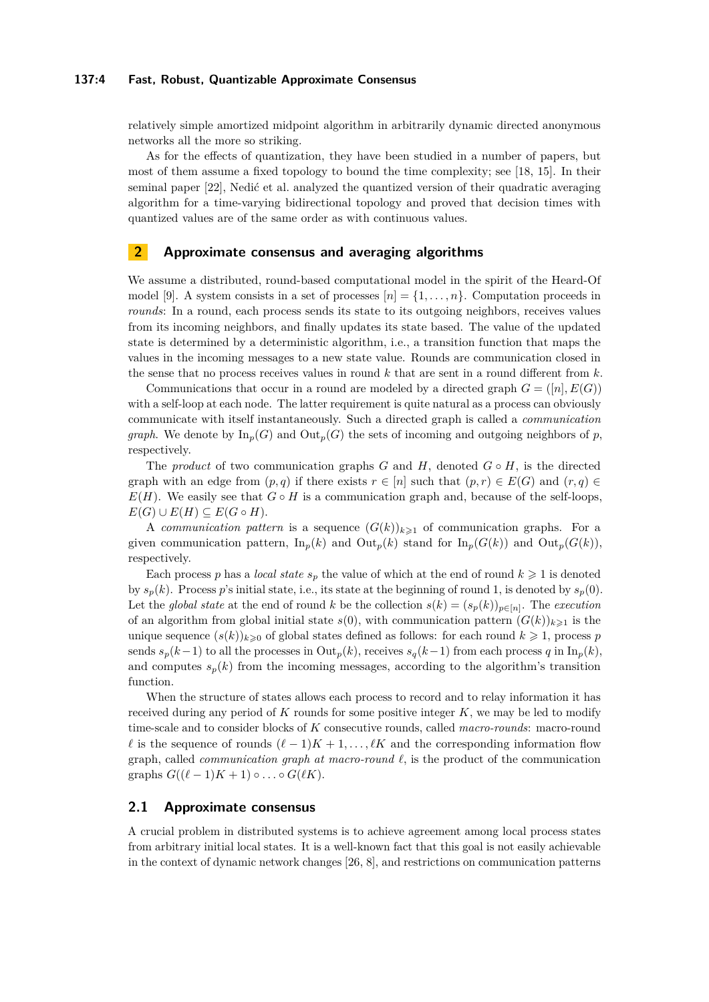## **137:4 Fast, Robust, Quantizable Approximate Consensus**

relatively simple amortized midpoint algorithm in arbitrarily dynamic directed anonymous networks all the more so striking.

As for the effects of quantization, they have been studied in a number of papers, but most of them assume a fixed topology to bound the time complexity; see [\[18,](#page-12-11) [15\]](#page-12-12). In their seminal paper [\[22\]](#page-12-8), Nedić et al. analyzed the quantized version of their quadratic averaging algorithm for a time-varying bidirectional topology and proved that decision times with quantized values are of the same order as with continuous values.

# **2 Approximate consensus and averaging algorithms**

We assume a distributed, round-based computational model in the spirit of the Heard-Of model [\[9\]](#page-12-13). A system consists in a set of processes  $[n] = \{1, \ldots, n\}$ . Computation proceeds in *rounds*: In a round, each process sends its state to its outgoing neighbors, receives values from its incoming neighbors, and finally updates its state based. The value of the updated state is determined by a deterministic algorithm, i.e., a transition function that maps the values in the incoming messages to a new state value. Rounds are communication closed in the sense that no process receives values in round *k* that are sent in a round different from *k*.

Communications that occur in a round are modeled by a directed graph  $G = ([n], E(G))$ with a self-loop at each node. The latter requirement is quite natural as a process can obviously communicate with itself instantaneously. Such a directed graph is called a *communication graph*. We denote by  $\text{In}_p(G)$  and  $\text{Out}_p(G)$  the sets of incoming and outgoing neighbors of *p*, respectively.

The *product* of two communication graphs *G* and *H*, denoted  $G \circ H$ , is the directed graph with an edge from  $(p,q)$  if there exists  $r \in [n]$  such that  $(p,r) \in E(G)$  and  $(r,q) \in$  $E(H)$ . We easily see that  $G \circ H$  is a communication graph and, because of the self-loops,  $E(G) \cup E(H) \subseteq E(G \circ H).$ 

A *communication pattern* is a sequence  $(G(k))_{k\geq 1}$  of communication graphs. For a given communication pattern,  $\text{In}_p(k)$  and  $\text{Out}_p(k)$  stand for  $\text{In}_p(G(k))$  and  $\text{Out}_p(G(k))$ , respectively.

Each process p has a *local state*  $s_p$  the value of which at the end of round  $k \geq 1$  is denoted by  $s_p(k)$ . Process *p*'s initial state, i.e., its state at the beginning of round 1, is denoted by  $s_p(0)$ . Let the *global state* at the end of round *k* be the collection  $s(k) = (s_p(k))_{p \in [n]}$ . The *execution* of an algorithm from global initial state  $s(0)$ , with communication pattern  $(G(k))_{k\geq 1}$  is the unique sequence  $(s(k))_{k\geqslant0}$  of global states defined as follows: for each round  $k\geqslant1$ , process *p* sends  $s_p(k-1)$  to all the processes in  $Out_p(k)$ , receives  $s_q(k-1)$  from each process *q* in  $In_p(k)$ , and computes  $s_p(k)$  from the incoming messages, according to the algorithm's transition function.

When the structure of states allows each process to record and to relay information it has received during any period of *K* rounds for some positive integer *K*, we may be led to modify time-scale and to consider blocks of *K* consecutive rounds, called *macro-rounds*: macro-round  $\ell$  is the sequence of rounds  $(\ell-1)K + 1, \ldots, \ell K$  and the corresponding information flow graph, called *communication graph at macro-round*  $\ell$ , is the product of the communication graphs  $G((\ell - 1)K + 1) \circ \ldots \circ G(\ell K)$ .

# **2.1 Approximate consensus**

A crucial problem in distributed systems is to achieve agreement among local process states from arbitrary initial local states. It is a well-known fact that this goal is not easily achievable in the context of dynamic network changes [\[26,](#page-13-4) [8\]](#page-12-0), and restrictions on communication patterns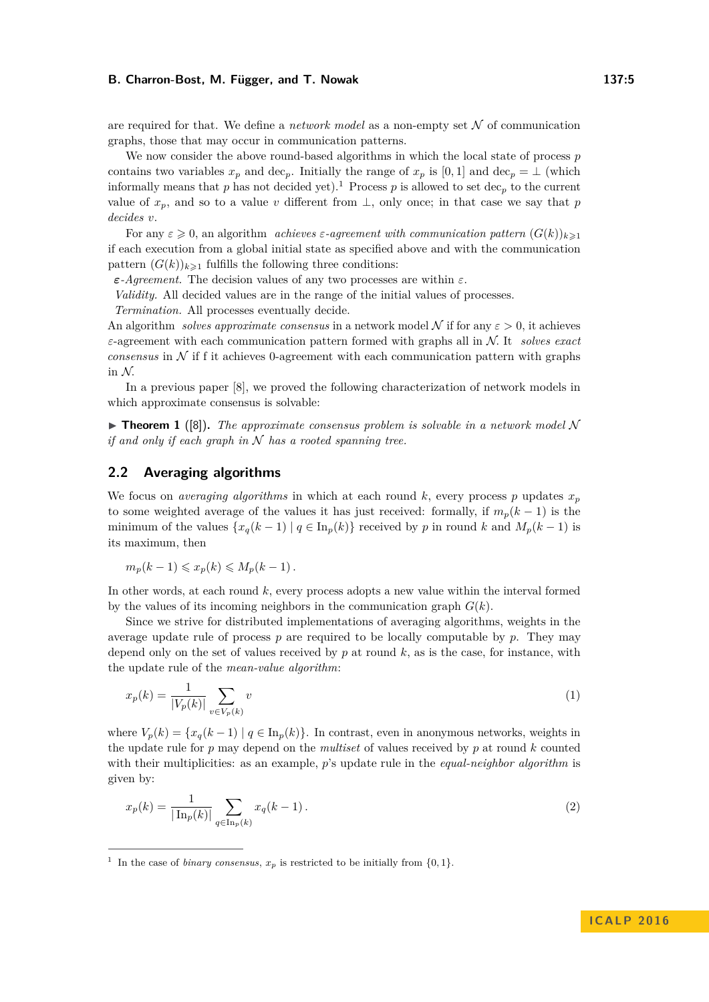are required for that. We define a *network model* as a non-empty set  $N$  of communication graphs, those that may occur in communication patterns.

We now consider the above round-based algorithms in which the local state of process *p* contains two variables  $x_p$  and dec<sub>*p*</sub>. Initially the range of  $x_p$  is [0, 1] and dec<sub>*p*</sub> = ⊥ (which informally means that *p* has not decided yet).<sup>[1](#page-4-0)</sup> Process *p* is allowed to set dec<sub>*p*</sub> to the current value of  $x_p$ , and so to a value *v* different from  $\perp$ , only once; in that case we say that *p decides v*.

For any  $\varepsilon \geq 0$ , an algorithm *achieves*  $\varepsilon$ -*agreement with communication pattern*  $(G(k))_{k\geq 1}$ if each execution from a global initial state as specified above and with the communication pattern  $(G(k))_{k\geq 1}$  fulfills the following three conditions:

*ε-Agreement.* The decision values of any two processes are within *ε*.

*Validity.* All decided values are in the range of the initial values of processes.

*Termination.* All processes eventually decide.

An algorithm *solves approximate consensus* in a network model N if for any  $\varepsilon > 0$ , it achieves *ε*-agreement with each communication pattern formed with graphs all in N*.* It *solves exact consensus* in  $N$  if f it achieves 0-agreement with each communication pattern with graphs in N*.*

In a previous paper [\[8\]](#page-12-0), we proved the following characterization of network models in which approximate consensus is solvable:

 $\triangleright$  **Theorem 1** ([\[8\]](#page-12-0)). The approximate consensus problem is solvable in a network model N *if and only if each graph in* N *has a rooted spanning tree.*

# **2.2 Averaging algorithms**

We focus on *averaging algorithms* in which at each round  $k$ , every process  $p$  updates  $x_p$ to some weighted average of the values it has just received: formally, if  $m_p(k-1)$  is the minimum of the values  $\{x_q(k-1) | q \in \text{In}_p(k)\}\)$  received by *p* in round *k* and  $M_p(k-1)$  is its maximum, then

$$
m_p(k-1) \leqslant x_p(k) \leqslant M_p(k-1).
$$

In other words, at each round *k*, every process adopts a new value within the interval formed by the values of its incoming neighbors in the communication graph  $G(k)$ .

Since we strive for distributed implementations of averaging algorithms, weights in the average update rule of process *p* are required to be locally computable by *p*. They may depend only on the set of values received by *p* at round *k*, as is the case, for instance, with the update rule of the *mean-value algorithm*:

$$
x_p(k) = \frac{1}{|V_p(k)|} \sum_{v \in V_p(k)} v
$$
\n(1)

where  $V_p(k) = \{x_q(k-1) | q \in \text{In}_p(k)\}\.$  In contrast, even in anonymous networks, weights in the update rule for *p* may depend on the *multiset* of values received by *p* at round *k* counted with their multiplicities: as an example, *p*'s update rule in the *equal-neighbor algorithm* is given by:

$$
x_p(k) = \frac{1}{|\ln_p(k)|} \sum_{q \in \text{In}_p(k)} x_q(k-1).
$$
 (2)

<span id="page-4-0"></span><sup>&</sup>lt;sup>1</sup> In the case of *binary consensus*,  $x_p$  is restricted to be initially from  $\{0, 1\}$ .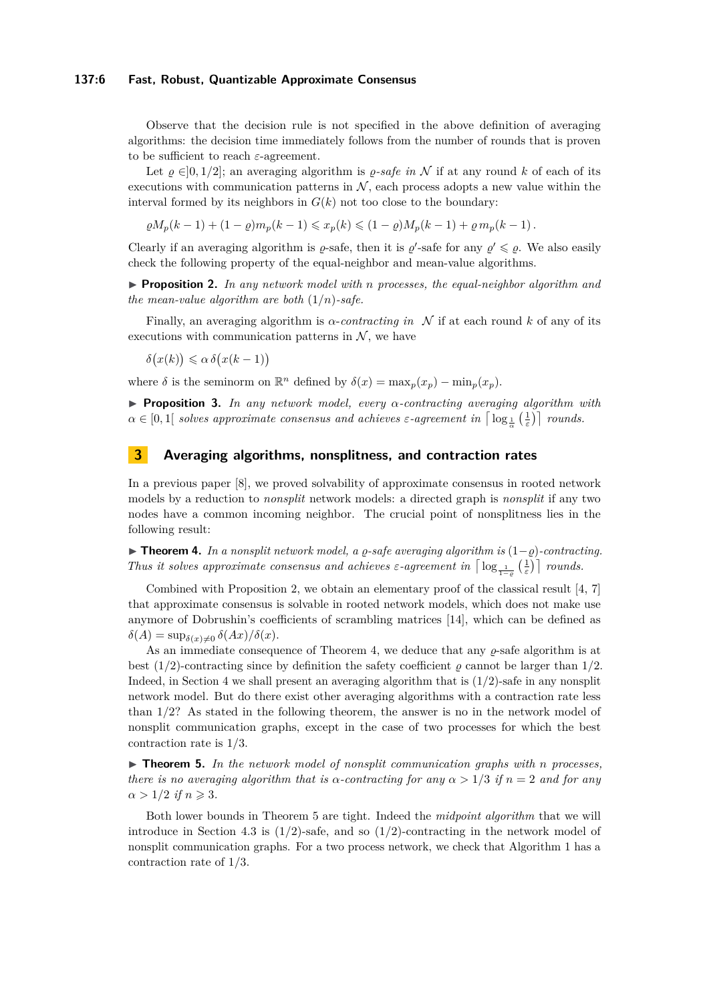## **137:6 Fast, Robust, Quantizable Approximate Consensus**

Observe that the decision rule is not specified in the above definition of averaging algorithms: the decision time immediately follows from the number of rounds that is proven to be sufficient to reach *ε*-agreement.

Let  $\varrho \in ]0, 1/2]$ ; an averaging algorithm is  $\varrho$ -safe in N if at any round k of each of its executions with communication patterns in  $N$ , each process adopts a new value within the interval formed by its neighbors in  $G(k)$  not too close to the boundary:

$$
\varrho M_p(k-1) + (1-\varrho)m_p(k-1) \leq x_p(k) \leq (1-\varrho)M_p(k-1) + \varrho m_p(k-1).
$$

Clearly if an averaging algorithm is  $\varrho$ -safe, then it is  $\varrho'$ -safe for any  $\varrho' \leq \varrho$ . We also easily check the following property of the equal-neighbor and mean-value algorithms.

<span id="page-5-0"></span>I **Proposition 2.** *In any network model with n processes, the equal-neighbor algorithm and the mean-value algorithm are both* (1*/n*)*-safe.*

Finally, an averaging algorithm is  $\alpha$ -*contracting in* N if at each round k of any of its executions with communication patterns in  $N$ , we have

$$
\delta(x(k)) \leq \alpha \delta(x(k-1))
$$

where  $\delta$  is the seminorm on  $\mathbb{R}^n$  defined by  $\delta(x) = \max_p(x_p) - \min_p(x_p)$ .

I **Proposition 3.** *In any network model, every α-contracting averaging algorithm with*  $\alpha \in [0,1[$  *solves approximate consensus and achieves*  $\varepsilon$ -agreement in  $\left\lceil \log_{\frac{1}{\alpha}}\left(\frac{1}{\varepsilon}\right)\right\rceil$  *rounds.* 

## **3 Averaging algorithms, nonsplitness, and contraction rates**

In a previous paper [\[8\]](#page-12-0), we proved solvability of approximate consensus in rooted network models by a reduction to *nonsplit* network models: a directed graph is *nonsplit* if any two nodes have a common incoming neighbor. The crucial point of nonsplitness lies in the following result:

<span id="page-5-1"></span>**► Theorem 4.** In a nonsplit network model, a  $\varrho$ -safe averaging algorithm is  $(1-\varrho)$ -contracting. *Thus it solves approximate consensus and achieves*  $\varepsilon$ -agreement in  $\lceil \log_{\frac{1}{1-\varrho}}(\frac{1}{\varepsilon}) \rceil$  rounds.

Combined with Proposition [2,](#page-5-0) we obtain an elementary proof of the classical result [\[4,](#page-12-14) [7\]](#page-12-15) that approximate consensus is solvable in rooted network models, which does not make use anymore of Dobrushin's coefficients of scrambling matrices [\[14\]](#page-12-16), which can be defined as  $\delta(A) = \sup_{\delta(x)\neq 0} \delta(Ax)/\delta(x).$ 

As an immediate consequence of Theorem [4,](#page-5-1) we deduce that any  $\rho$ -safe algorithm is at best (1/2)-contracting since by definition the safety coefficient  $\rho$  cannot be larger than 1/2. Indeed, in Section [4](#page-6-0) we shall present an averaging algorithm that is (1*/*2)-safe in any nonsplit network model. But do there exist other averaging algorithms with a contraction rate less than 1*/*2? As stated in the following theorem, the answer is no in the network model of nonsplit communication graphs, except in the case of two processes for which the best contraction rate is 1*/*3.

<span id="page-5-2"></span>I **Theorem 5.** *In the network model of nonsplit communication graphs with n processes, there is no averaging algorithm that is*  $\alpha$ -contracting for any  $\alpha > 1/3$  if  $n = 2$  and for any  $\alpha > 1/2$  *if*  $n \geqslant 3$ *.* 

Both lower bounds in Theorem [5](#page-5-2) are tight. Indeed the *midpoint algorithm* that we will introduce in Section [4.3](#page-8-0) is  $(1/2)$ -safe, and so  $(1/2)$ -contracting in the network model of nonsplit communication graphs. For a two process network, we check that Algorithm [1](#page-6-1) has a contraction rate of 1*/*3.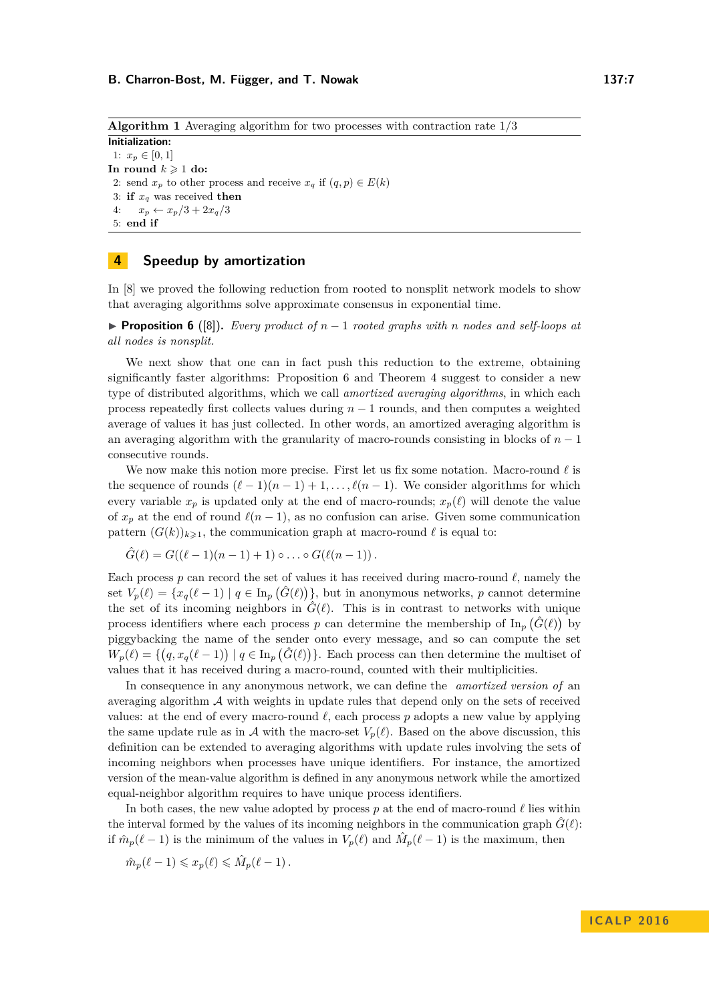<span id="page-6-1"></span>**Algorithm 1** Averaging algorithm for two processes with contraction rate 1*/*3

**Initialization:** 1:  $x_p \in [0,1]$ In round  $k \geq 1$  do: 2: send  $x_p$  to other process and receive  $x_q$  if  $(q, p) \in E(k)$ 3: **if** *x<sup>q</sup>* was received **then** 4:  $x_p \leftarrow x_p/3 + 2x_q/3$ 5: **end if**

# <span id="page-6-0"></span>**4 Speedup by amortization**

In [\[8\]](#page-12-0) we proved the following reduction from rooted to nonsplit network models to show that averaging algorithms solve approximate consensus in exponential time.

<span id="page-6-2"></span>**Proposition 6** ([\[8\]](#page-12-0)). *Every product of*  $n-1$  *rooted graphs with n nodes and self-loops at all nodes is nonsplit.*

We next show that one can in fact push this reduction to the extreme, obtaining significantly faster algorithms: Proposition [6](#page-6-2) and Theorem [4](#page-5-1) suggest to consider a new type of distributed algorithms, which we call *amortized averaging algorithms*, in which each process repeatedly first collects values during *n* − 1 rounds, and then computes a weighted average of values it has just collected. In other words, an amortized averaging algorithm is an averaging algorithm with the granularity of macro-rounds consisting in blocks of *n* − 1 consecutive rounds.

We now make this notion more precise. First let us fix some notation. Macro-round  $\ell$  is the sequence of rounds  $(\ell - 1)(n - 1) + 1, \ldots, \ell(n - 1)$ . We consider algorithms for which every variable  $x_p$  is updated only at the end of macro-rounds;  $x_p(\ell)$  will denote the value of  $x_p$  at the end of round  $\ell(n-1)$ , as no confusion can arise. Given some communication pattern  $(G(k))_{k\geq 1}$ , the communication graph at macro-round  $\ell$  is equal to:

$$
\hat{G}(\ell) = G((\ell-1)(n-1)+1) \circ \ldots \circ G(\ell(n-1)).
$$

Each process  $p$  can record the set of values it has received during macro-round  $\ell$ , namely the set  $V_p(\ell) = \{x_q(\ell-1) \mid q \in \text{In}_p(\hat{G}(\ell))\},\$  but in anonymous networks, *p* cannot determine the set of its incoming neighbors in  $\hat{G}(\ell)$ . This is in contrast to networks with unique process identifiers where each process  $p$  can determine the membership of  $\text{In}_{p}(\hat{G}(\ell))$  by piggybacking the name of the sender onto every message, and so can compute the set  $W_p(\ell) = \{ (q, x_q(\ell-1)) \mid q \in \text{In}_p(\hat{G}(\ell)) \}.$  Each process can then determine the multiset of values that it has received during a macro-round, counted with their multiplicities.

In consequence in any anonymous network, we can define the *amortized version of* an averaging algorithm  $\mathcal A$  with weights in update rules that depend only on the sets of received values: at the end of every macro-round  $\ell$ , each process  $p$  adopts a new value by applying the same update rule as in A with the macro-set  $V_p(\ell)$ . Based on the above discussion, this definition can be extended to averaging algorithms with update rules involving the sets of incoming neighbors when processes have unique identifiers. For instance, the amortized version of the mean-value algorithm is defined in any anonymous network while the amortized equal-neighbor algorithm requires to have unique process identifiers.

In both cases, the new value adopted by process  $p$  at the end of macro-round  $\ell$  lies within the interval formed by the values of its incoming neighbors in the communication graph  $\hat{G}(\ell)$ : if  $\hat{m}_p(\ell-1)$  is the minimum of the values in  $V_p(\ell)$  and  $\hat{M}_p(\ell-1)$  is the maximum, then

$$
\hat{m}_p(\ell-1) \leqslant x_p(\ell) \leqslant \hat{M}_p(\ell-1) \, .
$$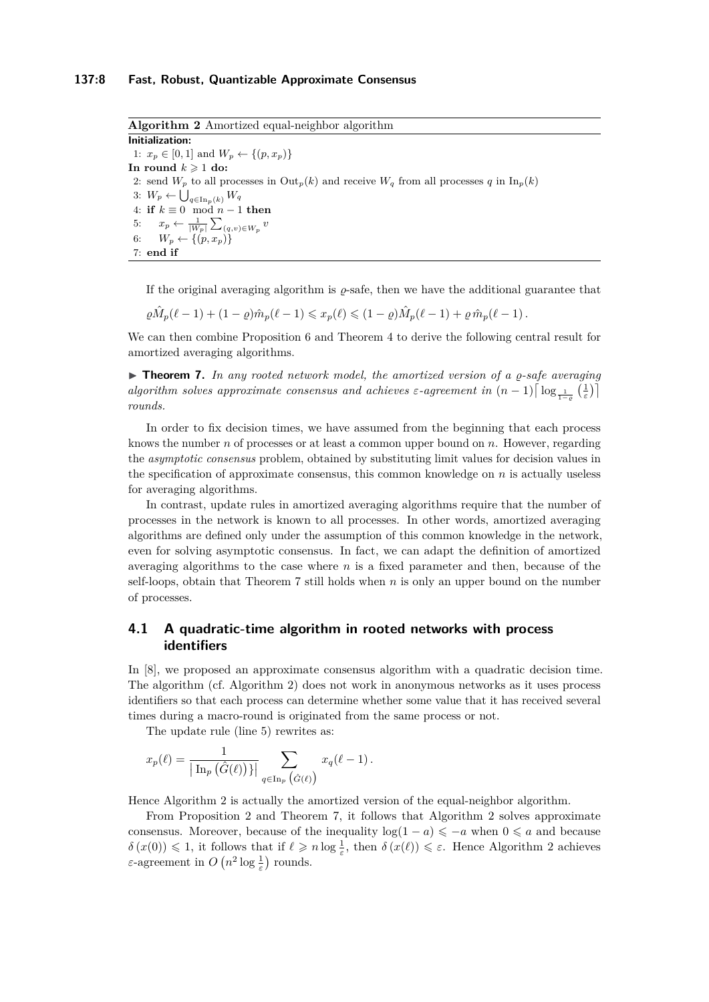<span id="page-7-1"></span>**Algorithm 2** Amortized equal-neighbor algorithm **Initialization:** 1:  $x_p \in [0, 1]$  and  $W_p \leftarrow \{(p, x_p)\}\$ In round  $k \geq 1$  do: 2: send  $W_p$  to all processes in  $\text{Out}_p(k)$  and receive  $W_q$  from all processes  $q$  in  $\text{In}_p(k)$ 3:  $W_p \leftarrow \bigcup_{q \in \text{In}_p(k)} W_q$ 4: **if**  $k \equiv 0 \mod n - 1$  **then** 5:  $x_p \leftarrow \frac{1}{|W_p|} \sum_{(q,v) \in W_p} v$ 6:  $W_p \leftarrow \{(p, x_p)\}$ 7: **end if**

If the original averaging algorithm is  $\rho$ -safe, then we have the additional guarantee that

$$
\varrho \hat{M}_p(\ell-1) + (1-\varrho)\hat{m}_p(\ell-1) \leqslant x_p(\ell) \leqslant (1-\varrho)\hat{M}_p(\ell-1) + \varrho \hat{m}_p(\ell-1).
$$

We can then combine Proposition [6](#page-6-2) and Theorem [4](#page-5-1) to derive the following central result for amortized averaging algorithms.

<span id="page-7-0"></span> $\triangleright$  **Theorem 7.** In any rooted network model, the amortized version of a  $\rho$ -safe averaging *algorithm solves approximate consensus and achieves*  $\varepsilon$ -agreement in  $(n-1) \lceil \log_{\frac{1}{1-\varrho}}(\frac{1}{\varepsilon}) \rceil$ *rounds.*

In order to fix decision times, we have assumed from the beginning that each process knows the number *n* of processes or at least a common upper bound on *n*. However, regarding the *asymptotic consensus* problem, obtained by substituting limit values for decision values in the specification of approximate consensus, this common knowledge on *n* is actually useless for averaging algorithms.

In contrast, update rules in amortized averaging algorithms require that the number of processes in the network is known to all processes. In other words, amortized averaging algorithms are defined only under the assumption of this common knowledge in the network, even for solving asymptotic consensus. In fact, we can adapt the definition of amortized averaging algorithms to the case where *n* is a fixed parameter and then, because of the self-loops, obtain that Theorem [7](#page-7-0) still holds when *n* is only an upper bound on the number of processes.

# **4.1 A quadratic-time algorithm in rooted networks with process identifiers**

In [\[8\]](#page-12-0), we proposed an approximate consensus algorithm with a quadratic decision time. The algorithm (cf. Algorithm [2\)](#page-7-1) does not work in anonymous networks as it uses process identifiers so that each process can determine whether some value that it has received several times during a macro-round is originated from the same process or not.

The update rule (line 5) rewrites as:

$$
x_p(\ell) = \frac{1}{\left| \operatorname{In}_p\left(\hat{G}(\ell)\right)\right|} \sum_{q \in \operatorname{In}_p\left(\hat{G}(\ell)\right)} x_q(\ell-1).
$$

Hence Algorithm [2](#page-7-1) is actually the amortized version of the equal-neighbor algorithm.

From Proposition [2](#page-5-0) and Theorem [7,](#page-7-0) it follows that Algorithm [2](#page-7-1) solves approximate consensus. Moreover, because of the inequality  $\log(1 - a) \leq -a$  when  $0 \leq a$  and because  $\delta(x(0)) \leq 1$ , it follows that if  $\ell \geq n \log \frac{1}{\varepsilon}$ , then  $\delta(x(\ell)) \leq \varepsilon$ . Hence Algorithm [2](#page-7-1) achieves *ε*-agreement in  $O(n^2 \log \frac{1}{\varepsilon})$  rounds.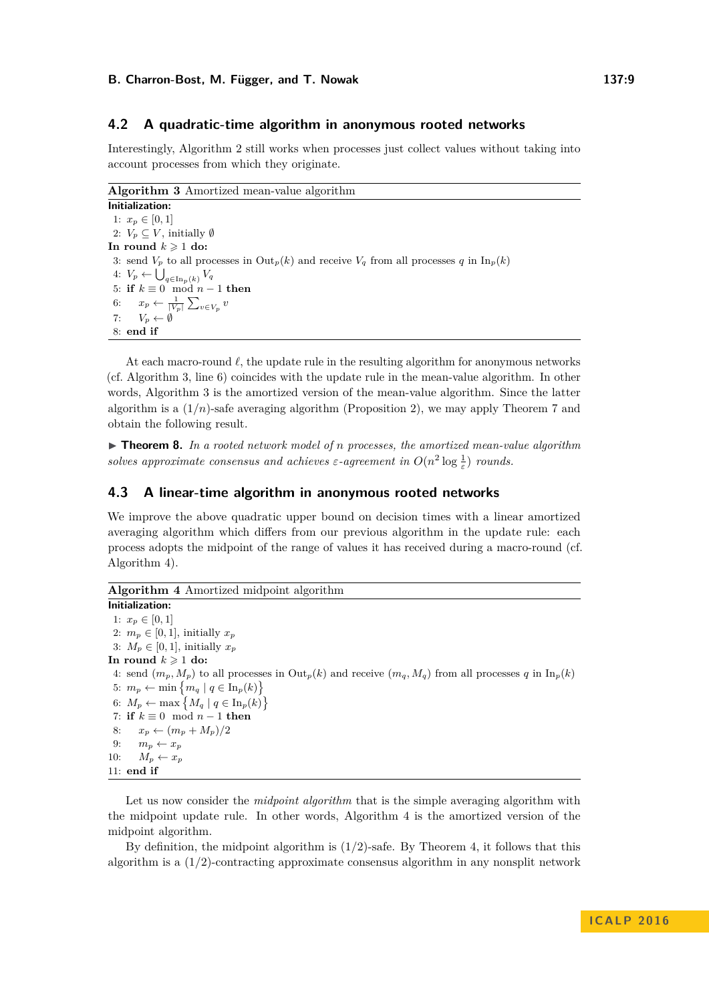## **4.2 A quadratic-time algorithm in anonymous rooted networks**

Interestingly, Algorithm [2](#page-7-1) still works when processes just collect values without taking into account processes from which they originate.

<span id="page-8-1"></span>**Algorithm 3** Amortized mean-value algorithm

**Initialization:** 1:  $x_p \in [0,1]$ 2:  $V_p \subseteq V$ , initially Ø In round  $k \geq 1$  do: 3: send  $V_p$  to all processes in  $\text{Out}_p(k)$  and receive  $V_q$  from all processes *q* in  $\text{In}_p(k)$ 4:  $V_p$  ←  $\bigcup_{q \in \text{In}_p(k)} V_q$ 5: **if**  $k \equiv 0 \mod n - 1$  **then** 6:  $x_p \leftarrow \frac{1}{|V_p|} \sum_{v \in V_p} v$ 7:  $V_p \leftarrow \emptyset$ 8: **end if**

At each macro-round  $\ell$ , the update rule in the resulting algorithm for anonymous networks (cf. Algorithm [3,](#page-8-1) line 6) coincides with the update rule in the mean-value algorithm. In other words, Algorithm [3](#page-8-1) is the amortized version of the mean-value algorithm. Since the latter algorithm is a  $(1/n)$ -safe averaging algorithm (Proposition [2\)](#page-5-0), we may apply Theorem [7](#page-7-0) and obtain the following result.

I **Theorem 8.** *In a rooted network model of n processes, the amortized mean-value algorithm solves approximate consensus and achieves*  $\varepsilon$ -agreement in  $O(n^2 \log \frac{1}{\varepsilon})$  *rounds.* 

# <span id="page-8-0"></span>**4.3 A linear-time algorithm in anonymous rooted networks**

We improve the above quadratic upper bound on decision times with a linear amortized averaging algorithm which differs from our previous algorithm in the update rule: each process adopts the midpoint of the range of values it has received during a macro-round (cf. Algorithm [4\)](#page-8-2).

# <span id="page-8-2"></span>**Algorithm 4** Amortized midpoint algorithm

**Initialization:** 1:  $x_p \in [0, 1]$ 2:  $m_p \in [0, 1]$ , initially  $x_p$ 3:  $M_p \in [0, 1]$ , initially  $x_p$ In round  $k \geq 1$  do: 4: send  $(m_p, M_p)$  to all processes in  $Out_p(k)$  and receive  $(m_q, M_q)$  from all processes q in  $In_p(k)$ 5:  $m_p \leftarrow \min \{ m_q \mid q \in \text{In}_p(k) \}$ 6:  $M_p \leftarrow \max \left\{ M_q \mid q \in \text{In}_p(k) \right\}$ 7: **if**  $k \equiv 0 \mod n - 1$  **then** 8:  $x_p \leftarrow (m_p + M_p)/2$ 9:  $m_p \leftarrow x_p$ 10:  $M_p \leftarrow x_p$ 11: **end if**

Let us now consider the *midpoint algorithm* that is the simple averaging algorithm with the midpoint update rule. In other words, Algorithm [4](#page-8-2) is the amortized version of the midpoint algorithm.

By definition, the midpoint algorithm is (1*/*2)-safe. By Theorem [4,](#page-5-1) it follows that this algorithm is a  $(1/2)$ -contracting approximate consensus algorithm in any nonsplit network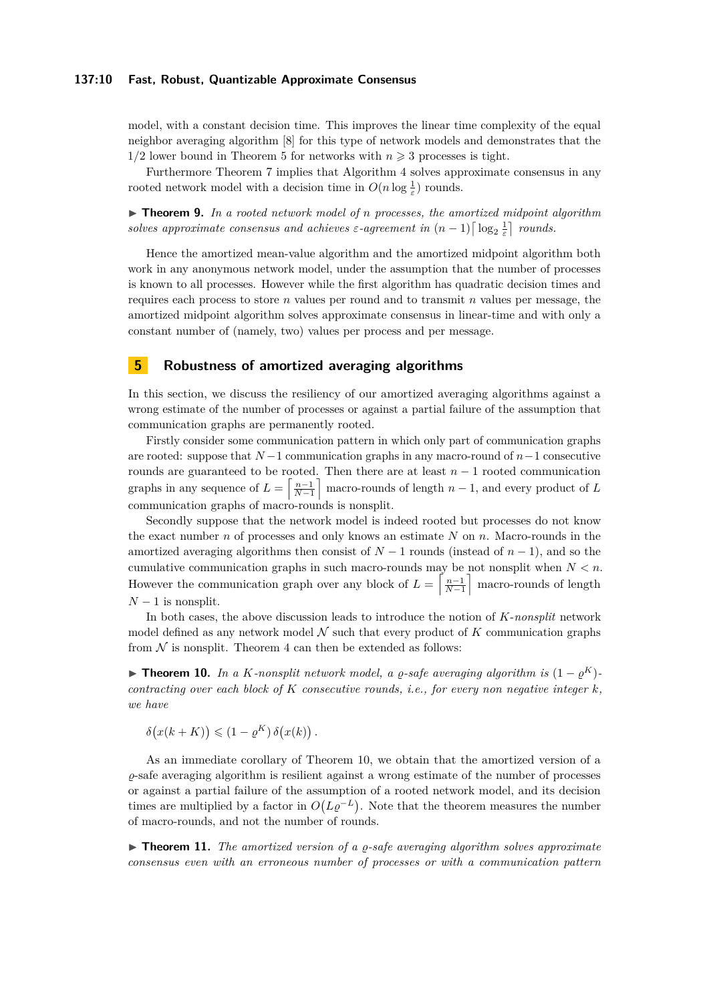## **137:10 Fast, Robust, Quantizable Approximate Consensus**

model, with a constant decision time. This improves the linear time complexity of the equal neighbor averaging algorithm [\[8\]](#page-12-0) for this type of network models and demonstrates that the  $1/2$  lower bound in Theorem [5](#page-5-2) for networks with  $n \geq 3$  processes is tight.

Furthermore Theorem [7](#page-7-0) implies that Algorithm [4](#page-8-2) solves approximate consensus in any rooted network model with a decision time in  $O(n \log \frac{1}{\varepsilon})$  rounds.

▶ **Theorem 9.** In a rooted network model of *n* processes, the amortized midpoint algorithm *solves approximate consensus and achieves*  $\varepsilon$ -agreement in  $(n-1) \lceil \log_2 \frac{1}{\varepsilon} \rceil$  rounds.

Hence the amortized mean-value algorithm and the amortized midpoint algorithm both work in any anonymous network model, under the assumption that the number of processes is known to all processes. However while the first algorithm has quadratic decision times and requires each process to store *n* values per round and to transmit *n* values per message, the amortized midpoint algorithm solves approximate consensus in linear-time and with only a constant number of (namely, two) values per process and per message.

# **5 Robustness of amortized averaging algorithms**

In this section, we discuss the resiliency of our amortized averaging algorithms against a wrong estimate of the number of processes or against a partial failure of the assumption that communication graphs are permanently rooted.

Firstly consider some communication pattern in which only part of communication graphs are rooted: suppose that *N* −1 communication graphs in any macro-round of *n*−1 consecutive rounds are guaranteed to be rooted. Then there are at least *n* − 1 rooted communication graphs in any sequence of  $L = \left[\frac{n-1}{N-1}\right]$  macro-rounds of length  $n-1$ , and every product of *L* communication graphs of macro-rounds is nonsplit.

Secondly suppose that the network model is indeed rooted but processes do not know the exact number *n* of processes and only knows an estimate *N* on *n*. Macro-rounds in the amortized averaging algorithms then consist of *N* − 1 rounds (instead of *n* − 1), and so the cumulative communication graphs in such macro-rounds may be not nonsplit when *N < n*. However the communication graph over any block of  $L = \left\lceil \frac{n-1}{N-1} \right\rceil$  macro-rounds of length  $N-1$  is nonsplit.

In both cases, the above discussion leads to introduce the notion of *K*-*nonsplit* network model defined as any network model  $N$  such that every product of  $K$  communication graphs from  $\mathcal N$  is nonsplit. Theorem [4](#page-5-1) can then be extended as follows:

<span id="page-9-0"></span>**► Theorem 10.** *In a K-nonsplit network model, a*  $\varrho$ *-safe averaging algorithm is*  $(1 - \varrho^K)$ *contracting over each block of K consecutive rounds, i.e., for every non negative integer k, we have*

$$
\delta(x(k+K)) \leq (1 - \varrho^{K}) \delta(x(k)).
$$

As an immediate corollary of Theorem [10,](#page-9-0) we obtain that the amortized version of a *%*-safe averaging algorithm is resilient against a wrong estimate of the number of processes or against a partial failure of the assumption of a rooted network model, and its decision times are multiplied by a factor in  $O(L\varrho^{-L})$ . Note that the theorem measures the number of macro-rounds, and not the number of rounds.

► **Theorem 11.** The amortized version of a *ρ*-safe averaging algorithm solves approximate *consensus even with an erroneous number of processes or with a communication pattern*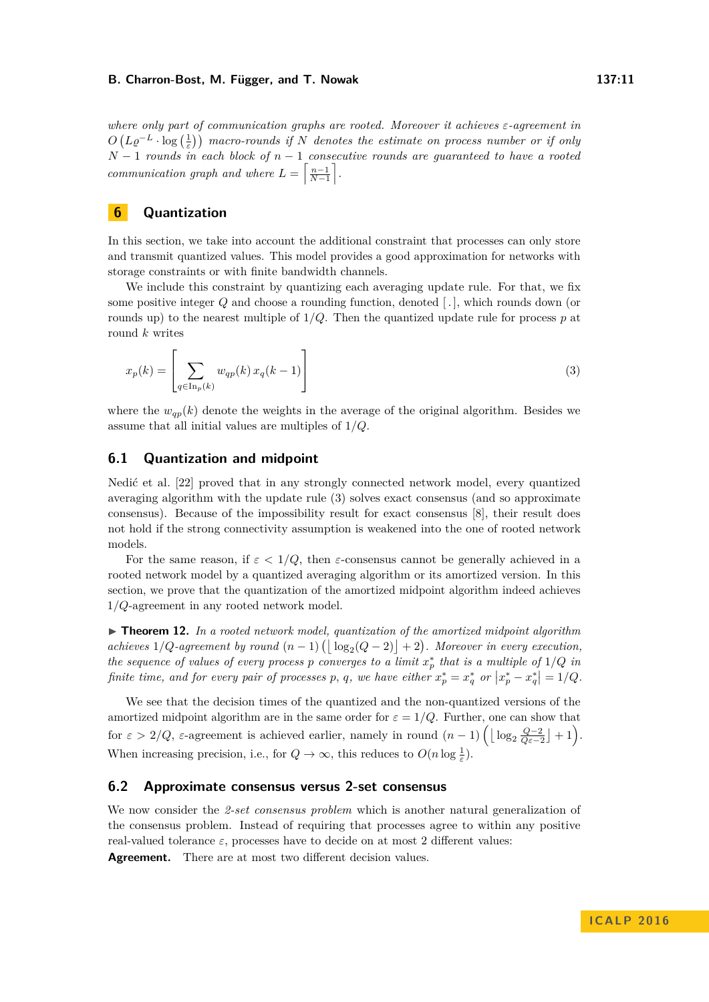*where only part of communication graphs are rooted. Moreover it achieves ε-agreement in*  $O(L\varrho^{-L} \cdot \log\left(\frac{1}{\varepsilon}\right))$  macro-rounds if *N* denotes the estimate on process number or if only *N* − 1 *rounds in each block of n* − 1 *consecutive rounds are guaranteed to have a rooted communication graph and where*  $L = \left\lceil \frac{n-1}{N-1} \right\rceil$ .

# **6 Quantization**

In this section, we take into account the additional constraint that processes can only store and transmit quantized values. This model provides a good approximation for networks with storage constraints or with finite bandwidth channels.

We include this constraint by quantizing each averaging update rule. For that, we fix some positive integer *Q* and choose a rounding function, denoted [ *.* ], which rounds down (or rounds up) to the nearest multiple of  $1/Q$ . Then the quantized update rule for process  $p$  at round *k* writes

<span id="page-10-0"></span>
$$
x_p(k) = \left[\sum_{q \in \text{In}_p(k)} w_{qp}(k) x_q(k-1)\right]
$$
\n(3)

where the  $w_{qp}(k)$  denote the weights in the average of the original algorithm. Besides we assume that all initial values are multiples of 1*/Q*.

## **6.1 Quantization and midpoint**

Nedić et al. [\[22\]](#page-12-8) proved that in any strongly connected network model, every quantized averaging algorithm with the update rule [\(3\)](#page-10-0) solves exact consensus (and so approximate consensus). Because of the impossibility result for exact consensus [\[8\]](#page-12-0), their result does not hold if the strong connectivity assumption is weakened into the one of rooted network models.

For the same reason, if  $\varepsilon < 1/Q$ , then *ε*-consensus cannot be generally achieved in a rooted network model by a quantized averaging algorithm or its amortized version. In this section, we prove that the quantization of the amortized midpoint algorithm indeed achieves 1*/Q*-agreement in any rooted network model.

<span id="page-10-1"></span>► **Theorem 12.** In a rooted network model, quantization of the amortized midpoint algorithm *achieves*  $1/Q$ *-agreement by round*  $(n-1) (\lfloor \log_2(Q-2) \rfloor + 2)$ *. Moreover in every execution, the sequence of values of every process p converges to a limit*  $x_p^*$  *that is a multiple of*  $1/Q$  *in finite time, and for every pair of processes p, q, we have either*  $x_p^* = x_q^*$  *or*  $|x_p^* - x_q^*| = 1/Q$ *.* 

We see that the decision times of the quantized and the non-quantized versions of the amortized midpoint algorithm are in the same order for  $\varepsilon = 1/Q$ . Further, one can show that for  $\varepsilon > 2/Q$ ,  $\varepsilon$ -agreement is achieved earlier, namely in round  $(n-1)\left(\lfloor \log_2 \frac{Q-2}{Q\varepsilon-2} \rfloor + 1\right)$ . When increasing precision, i.e., for  $Q \to \infty$ , this reduces to  $O(n \log \frac{1}{\varepsilon})$ .

# **6.2 Approximate consensus versus 2-set consensus**

We now consider the 2-set consensus problem which is another natural generalization of the consensus problem. Instead of requiring that processes agree to within any positive real-valued tolerance  $\varepsilon$ , processes have to decide on at most 2 different values:

Agreement. There are at most two different decision values.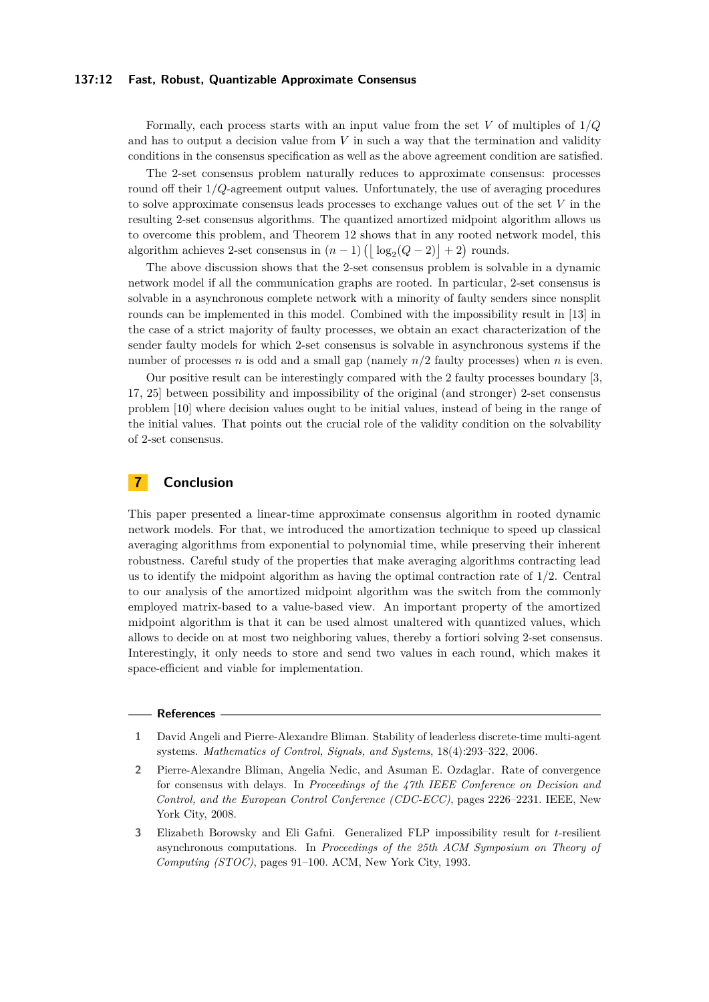## **137:12 Fast, Robust, Quantizable Approximate Consensus**

Formally, each process starts with an input value from the set *V* of multiples of 1*/Q* and has to output a decision value from *V* in such a way that the termination and validity conditions in the consensus specification as well as the above agreement condition are satisfied.

The 2-set consensus problem naturally reduces to approximate consensus: processes round off their 1*/Q*-agreement output values. Unfortunately, the use of averaging procedures to solve approximate consensus leads processes to exchange values out of the set *V* in the resulting 2-set consensus algorithms. The quantized amortized midpoint algorithm allows us to overcome this problem, and Theorem [12](#page-10-1) shows that in any rooted network model, this algorithm achieves 2-set consensus in  $(n-1)$   $\left(\lfloor \log_2(Q-2) \rfloor + 2\right)$  rounds.

The above discussion shows that the 2-set consensus problem is solvable in a dynamic network model if all the communication graphs are rooted. In particular, 2-set consensus is solvable in a asynchronous complete network with a minority of faulty senders since nonsplit rounds can be implemented in this model. Combined with the impossibility result in [\[13\]](#page-12-17) in the case of a strict majority of faulty processes, we obtain an exact characterization of the sender faulty models for which 2-set consensus is solvable in asynchronous systems if the number of processes *n* is odd and a small gap (namely  $n/2$  faulty processes) when *n* is even.

Our positive result can be interestingly compared with the 2 faulty processes boundary [\[3,](#page-11-2) [17,](#page-12-18) [25\]](#page-13-5) between possibility and impossibility of the original (and stronger) 2-set consensus problem [\[10\]](#page-12-19) where decision values ought to be initial values, instead of being in the range of the initial values. That points out the crucial role of the validity condition on the solvability of 2-set consensus.

# **7 Conclusion**

This paper presented a linear-time approximate consensus algorithm in rooted dynamic network models. For that, we introduced the amortization technique to speed up classical averaging algorithms from exponential to polynomial time, while preserving their inherent robustness. Careful study of the properties that make averaging algorithms contracting lead us to identify the midpoint algorithm as having the optimal contraction rate of 1*/*2. Central to our analysis of the amortized midpoint algorithm was the switch from the commonly employed matrix-based to a value-based view. An important property of the amortized midpoint algorithm is that it can be used almost unaltered with quantized values, which allows to decide on at most two neighboring values, thereby a fortiori solving 2-set consensus. Interestingly, it only needs to store and send two values in each round, which makes it space-efficient and viable for implementation.

#### **References**

- <span id="page-11-0"></span>**1** David Angeli and Pierre-Alexandre Bliman. Stability of leaderless discrete-time multi-agent systems. *Mathematics of Control, Signals, and Systems*, 18(4):293–322, 2006.
- <span id="page-11-1"></span>**2** Pierre-Alexandre Bliman, Angelia Nedic, and Asuman E. Ozdaglar. Rate of convergence for consensus with delays. In *Proceedings of the 47th IEEE Conference on Decision and Control, and the European Control Conference (CDC-ECC)*, pages 2226–2231. IEEE, New York City, 2008.
- <span id="page-11-2"></span>**3** Elizabeth Borowsky and Eli Gafni. Generalized FLP impossibility result for *t*-resilient asynchronous computations. In *Proceedings of the 25th ACM Symposium on Theory of Computing (STOC)*, pages 91–100. ACM, New York City, 1993.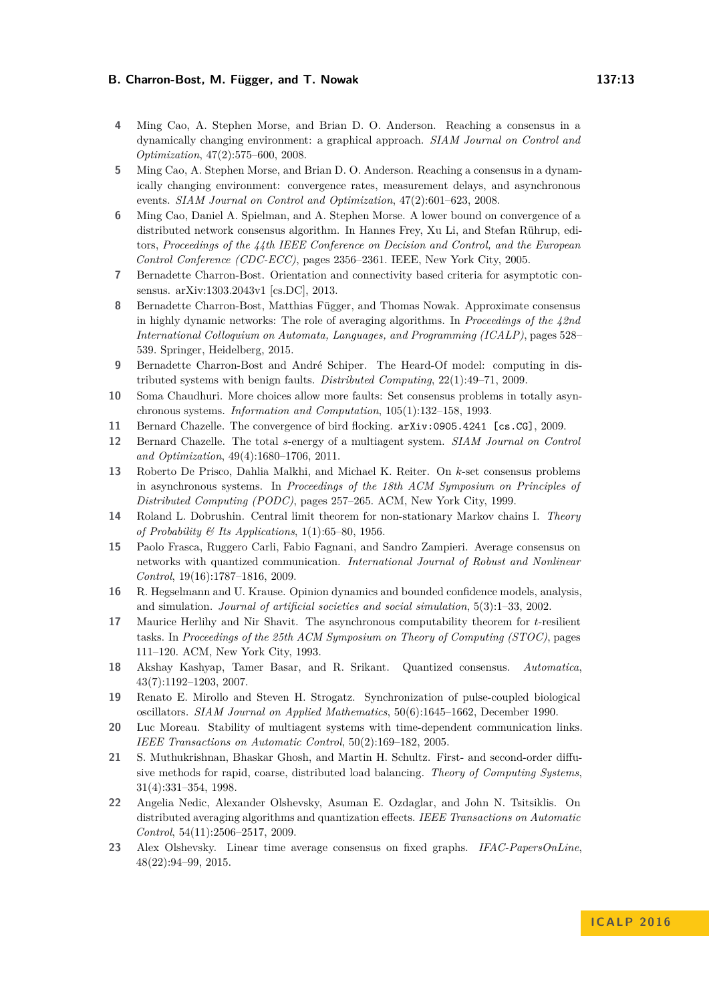- <span id="page-12-14"></span>**4** Ming Cao, A. Stephen Morse, and Brian D. O. Anderson. Reaching a consensus in a dynamically changing environment: a graphical approach. *SIAM Journal on Control and Optimization*, 47(2):575–600, 2008.
- <span id="page-12-7"></span>**5** Ming Cao, A. Stephen Morse, and Brian D. O. Anderson. Reaching a consensus in a dynamically changing environment: convergence rates, measurement delays, and asynchronous events. *SIAM Journal on Control and Optimization*, 47(2):601–623, 2008.
- <span id="page-12-6"></span>**6** Ming Cao, Daniel A. Spielman, and A. Stephen Morse. A lower bound on convergence of a distributed network consensus algorithm. In Hannes Frey, Xu Li, and Stefan Rührup, editors, *Proceedings of the 44th IEEE Conference on Decision and Control, and the European Control Conference (CDC-ECC)*, pages 2356–2361. IEEE, New York City, 2005.
- <span id="page-12-15"></span>**7** Bernadette Charron-Bost. Orientation and connectivity based criteria for asymptotic consensus. arXiv:1303.2043v1 [cs.DC], 2013.
- <span id="page-12-0"></span>**8** Bernadette Charron-Bost, Matthias Függer, and Thomas Nowak. Approximate consensus in highly dynamic networks: The role of averaging algorithms. In *Proceedings of the 42nd International Colloquium on Automata, Languages, and Programming (ICALP)*, pages 528– 539. Springer, Heidelberg, 2015.
- <span id="page-12-13"></span>**9** Bernadette Charron-Bost and André Schiper. The Heard-Of model: computing in distributed systems with benign faults. *Distributed Computing*, 22(1):49–71, 2009.
- <span id="page-12-19"></span>**10** Soma Chaudhuri. More choices allow more faults: Set consensus problems in totally asynchronous systems. *Information and Computation*, 105(1):132–158, 1993.
- <span id="page-12-2"></span>**11** Bernard Chazelle. The convergence of bird flocking. arXiv:0905.4241 [cs.CG], 2009.
- <span id="page-12-1"></span>**12** Bernard Chazelle. The total *s*-energy of a multiagent system. *SIAM Journal on Control and Optimization*, 49(4):1680–1706, 2011.
- <span id="page-12-17"></span>**13** Roberto De Prisco, Dahlia Malkhi, and Michael K. Reiter. On *k*-set consensus problems in asynchronous systems. In *Proceedings of the 18th ACM Symposium on Principles of Distributed Computing (PODC)*, pages 257–265. ACM, New York City, 1999.
- <span id="page-12-16"></span>**14** Roland L. Dobrushin. Central limit theorem for non-stationary Markov chains I. *Theory of Probability & Its Applications*, 1(1):65–80, 1956.
- <span id="page-12-12"></span>**15** Paolo Frasca, Ruggero Carli, Fabio Fagnani, and Sandro Zampieri. Average consensus on networks with quantized communication. *International Journal of Robust and Nonlinear Control*, 19(16):1787–1816, 2009.
- <span id="page-12-4"></span>**16** R. Hegselmann and U. Krause. Opinion dynamics and bounded confidence models, analysis, and simulation. *Journal of artificial societies and social simulation*, 5(3):1–33, 2002.
- <span id="page-12-18"></span>**17** Maurice Herlihy and Nir Shavit. The asynchronous computability theorem for *t*-resilient tasks. In *Proceedings of the 25th ACM Symposium on Theory of Computing (STOC)*, pages 111–120. ACM, New York City, 1993.
- <span id="page-12-11"></span>**18** Akshay Kashyap, Tamer Basar, and R. Srikant. Quantized consensus. *Automatica*, 43(7):1192–1203, 2007.
- <span id="page-12-5"></span>**19** Renato E. Mirollo and Steven H. Strogatz. Synchronization of pulse-coupled biological oscillators. *SIAM Journal on Applied Mathematics*, 50(6):1645–1662, December 1990.
- <span id="page-12-3"></span>**20** Luc Moreau. Stability of multiagent systems with time-dependent communication links. *IEEE Transactions on Automatic Control*, 50(2):169–182, 2005.
- <span id="page-12-9"></span>**21** S. Muthukrishnan, Bhaskar Ghosh, and Martin H. Schultz. First- and second-order diffusive methods for rapid, coarse, distributed load balancing. *Theory of Computing Systems*, 31(4):331–354, 1998.
- <span id="page-12-8"></span>**22** Angelia Nedic, Alexander Olshevsky, Asuman E. Ozdaglar, and John N. Tsitsiklis. On distributed averaging algorithms and quantization effects. *IEEE Transactions on Automatic Control*, 54(11):2506–2517, 2009.
- <span id="page-12-10"></span>**23** Alex Olshevsky. Linear time average consensus on fixed graphs. *IFAC-PapersOnLine*, 48(22):94–99, 2015.